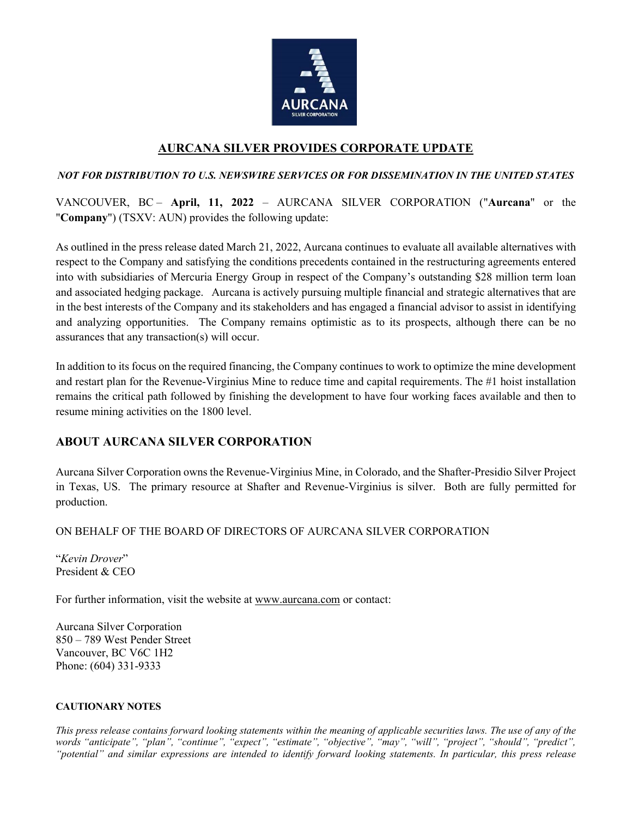

## **AURCANA SILVER PROVIDES CORPORATE UPDATE**

### *NOT FOR DISTRIBUTION TO U.S. NEWSWIRE SERVICES OR FOR DISSEMINATION IN THE UNITED STATES*

VANCOUVER, BC – **April, 11, 2022** – AURCANA SILVER CORPORATION ("**Aurcana**" or the "**Company**") (TSXV: AUN) provides the following update:

As outlined in the press release dated March 21, 2022, Aurcana continues to evaluate all available alternatives with respect to the Company and satisfying the conditions precedents contained in the restructuring agreements entered into with subsidiaries of Mercuria Energy Group in respect of the Company's outstanding \$28 million term loan and associated hedging package. Aurcana is actively pursuing multiple financial and strategic alternatives that are in the best interests of the Company and its stakeholders and has engaged a financial advisor to assist in identifying and analyzing opportunities. The Company remains optimistic as to its prospects, although there can be no assurances that any transaction(s) will occur.

In addition to its focus on the required financing, the Company continues to work to optimize the mine development and restart plan for the Revenue-Virginius Mine to reduce time and capital requirements. The #1 hoist installation remains the critical path followed by finishing the development to have four working faces available and then to resume mining activities on the 1800 level.

# **ABOUT AURCANA SILVER CORPORATION**

Aurcana Silver Corporation owns the Revenue-Virginius Mine, in Colorado, and the Shafter-Presidio Silver Project in Texas, US. The primary resource at Shafter and Revenue-Virginius is silver. Both are fully permitted for production.

### ON BEHALF OF THE BOARD OF DIRECTORS OF AURCANA SILVER CORPORATION

"*Kevin Drover*" President & CEO

For further information, visit the website at [www.aurcana.com](http://www.aurcana.com/) or contact:

Aurcana Silver Corporation 850 – 789 West Pender Street Vancouver, BC V6C 1H2 Phone: (604) 331-9333

### **CAUTIONARY NOTES**

*This press release contains forward looking statements within the meaning of applicable securities laws. The use of any of the words "anticipate", "plan", "continue", "expect", "estimate", "objective", "may", "will", "project", "should", "predict", "potential" and similar expressions are intended to identify forward looking statements. In particular, this press release*